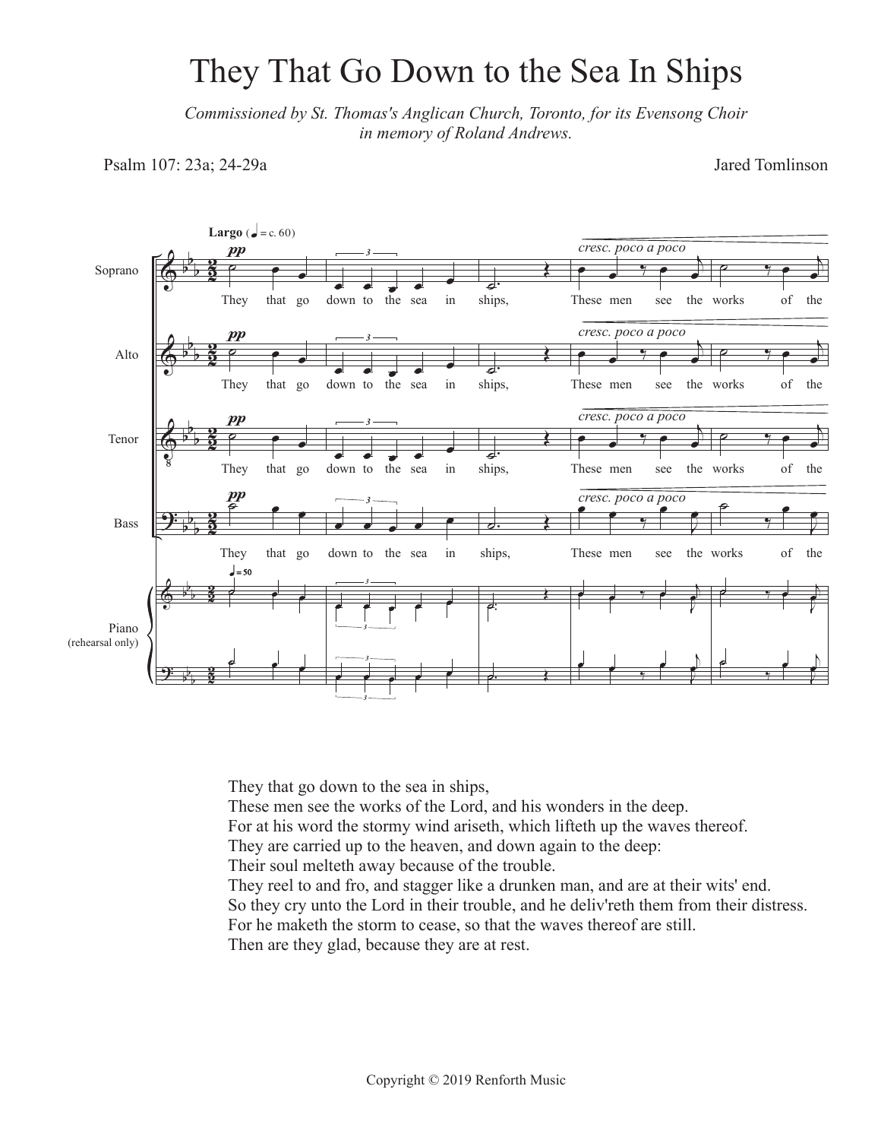## They That Go Down to the Sea In Ships

*Commissioned by St. Thomas's Anglican Church, Toronto, for its Evensong Choir in memory of Roland Andrews.*

Psalm 107: 23a; 24-29a

Jared Tomlinson



They that go down to the sea in ships,

These men see the works of the Lord, and his wonders in the deep.

For at his word the stormy wind ariseth, which lifteth up the waves thereof.

They are carried up to the heaven, and down again to the deep:

Their soul melteth away because of the trouble.

They reel to and fro, and stagger like a drunken man, and are at their wits' end. So they cry unto the Lord in their trouble, and he deliv'reth them from their distress. For he maketh the storm to cease, so that the waves thereof are still.

Then are they glad, because they are at rest.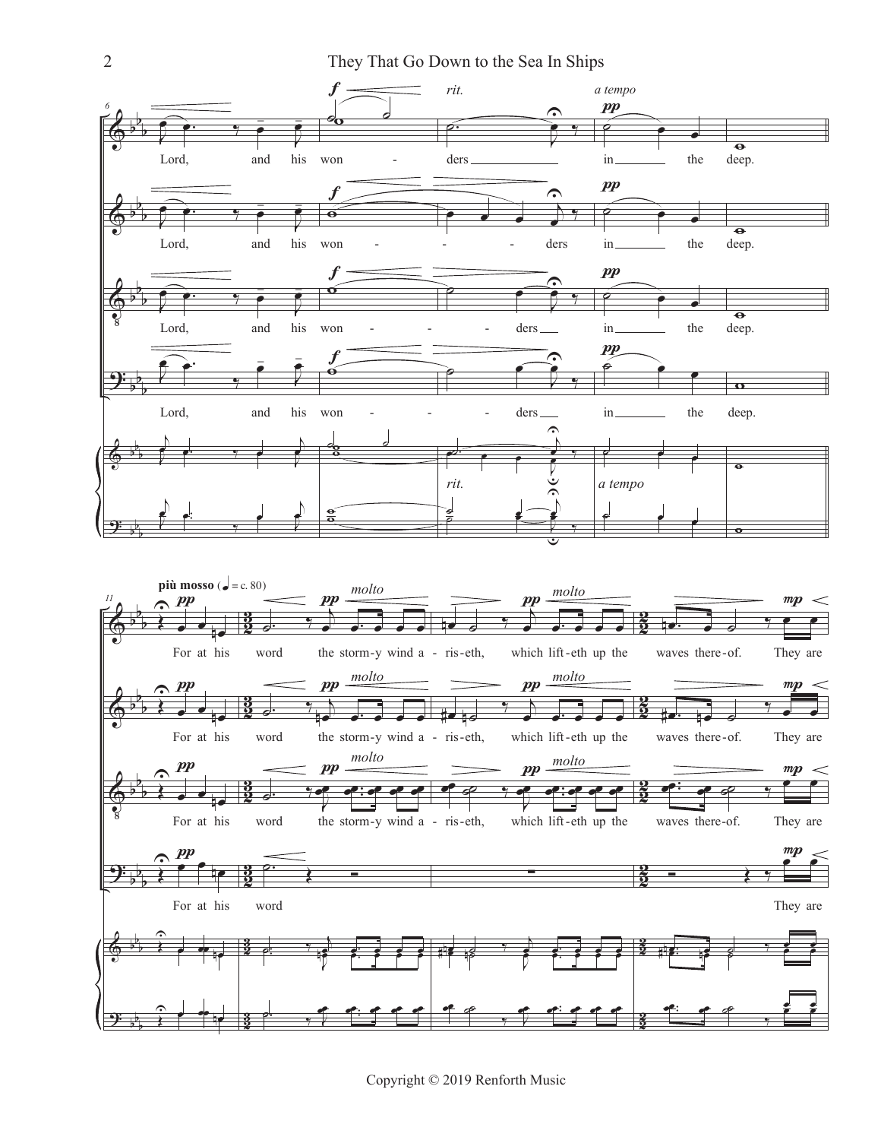

Copyright © 2019 Renforth Music